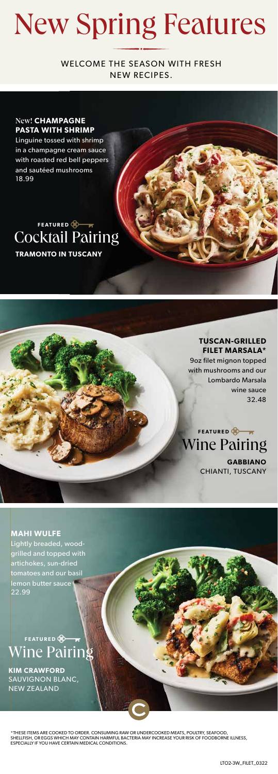## New Spring Features

WELCOME THE SEASON WITH FRESH NEW RECIPES.

#### New! **CHAMPAGNE PASTA WITH SHRIMP**

Linguine tossed with shrimp in a champagne cream sauce with roasted red bell peppers and sautéed mushrooms 18.99

### **TRAMONTO IN TUSCANY** Cocktail Pairing **FEATURED**

**TUSCAN-GRILLED FILET MARSALA\*** 9oz filet mignon topped with mushrooms and our Lombardo Marsala wine sauce 32.48

**GABBIANO** 

CHIANTI, TUSCANY

Wine Pairing **FEATURED** 

**MAHI WULFE** Lightly breaded, woodgrilled and topped with artichokes, sun-dried tomatoes and our basil lemon butter sauce 22.99

Wine Pairing **FEATURED** 

**KIM CRAWFORD**  SAUVIGNON BLANC, NEW ZEALAND

\*THESE ITEMS ARE COOKED TO ORDER. CONSUMING RAW OR UNDERCOOKED MEATS, POULTRY, SEAFOOD, SHELLFISH, OR EGGS WHICH MAY CONTAIN HARMFUL BACTERIA MAY INCREASE YOUR RISK OF FOODBORNE ILLNESS,<br>ESPECIALLY IF YOU HAVE CERTAIN MEDICAL CONDITIONS.